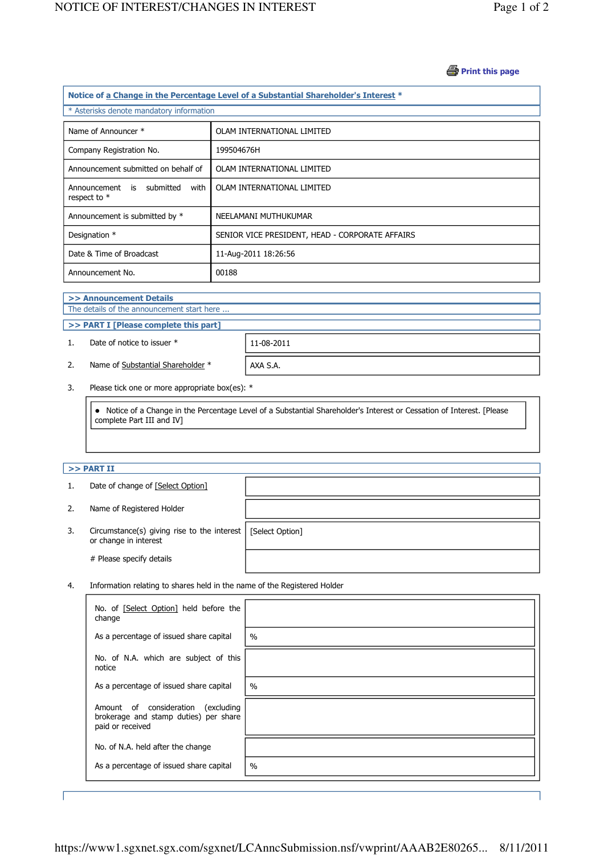### **B** Print this page

| Notice of a Change in the Percentage Level of a Substantial Shareholder's Interest * |                                                 |  |  |  |  |
|--------------------------------------------------------------------------------------|-------------------------------------------------|--|--|--|--|
| * Asterisks denote mandatory information                                             |                                                 |  |  |  |  |
|                                                                                      |                                                 |  |  |  |  |
| Name of Announcer *                                                                  | OLAM INTERNATIONAL LIMITED                      |  |  |  |  |
| Company Registration No.                                                             | 199504676H                                      |  |  |  |  |
| Announcement submitted on behalf of                                                  | OLAM INTERNATIONAL LIMITED                      |  |  |  |  |
| Announcement is submitted<br>with<br>respect to *                                    | OLAM INTERNATIONAL LIMITED                      |  |  |  |  |
| Announcement is submitted by *                                                       | NEELAMANI MUTHUKUMAR                            |  |  |  |  |
| Designation *                                                                        | SENIOR VICE PRESIDENT, HEAD - CORPORATE AFFAIRS |  |  |  |  |
| Date & Time of Broadcast                                                             | 11-Aug-2011 18:26:56                            |  |  |  |  |
| Announcement No.                                                                     | 00188                                           |  |  |  |  |

### >> Announcement Details

j

J

The details of the announcement start here ...

>> PART I [Please complete this part]

1. Date of notice to issuer \* 11-08-2011

2. Name of Substantial Shareholder  $*$  | AXA S.A.

3. Please tick one or more appropriate box(es): \*

 Notice of a Change in the Percentage Level of a Substantial Shareholder's Interest or Cessation of Interest. [Please complete Part III and IV]

# $>>$  PART II

j

| 1. | Date of change of [Select Option]                                            |                 |
|----|------------------------------------------------------------------------------|-----------------|
| 2. | Name of Registered Holder                                                    |                 |
| 3. | Circumstance(s) giving rise to the interest $\vert$<br>or change in interest | [Select Option] |
|    | # Please specify details                                                     |                 |

4. Information relating to shares held in the name of the Registered Holder

| No. of [Select Option] held before the<br>change                                                   |      |
|----------------------------------------------------------------------------------------------------|------|
| As a percentage of issued share capital                                                            | $\%$ |
| No. of N.A. which are subject of this<br>notice                                                    |      |
| As a percentage of issued share capital                                                            | $\%$ |
| Amount of consideration<br>(excluding<br>brokerage and stamp duties) per share<br>paid or received |      |
| No. of N.A. held after the change                                                                  |      |
| As a percentage of issued share capital                                                            | $\%$ |

J